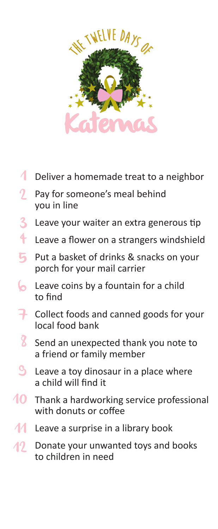

- Deliver a homemade treat to a neighbor 1
- Pay for someone's meal behind you in line 2
- Leave your waiter an extra generous tip 3
- Leave a flower on a strangers windshield 4
- Put a basket of drinks & snacks on your porch for your mail carrier 5
- Leave coins by a fountain for a child to find 6
- Collect foods and canned goods for your local food bank 7
- Send an unexpected thank you note to a friend or family member 8
- Leave a toy dinosaur in a place where a child will find it  $\mathcal{S}_{\mathbf{a}}$
- Thank a hardworking service professional with donuts or coffee 10
- Leave a surprise in a library book 11
- Donate your unwanted toys and books to children in need 12